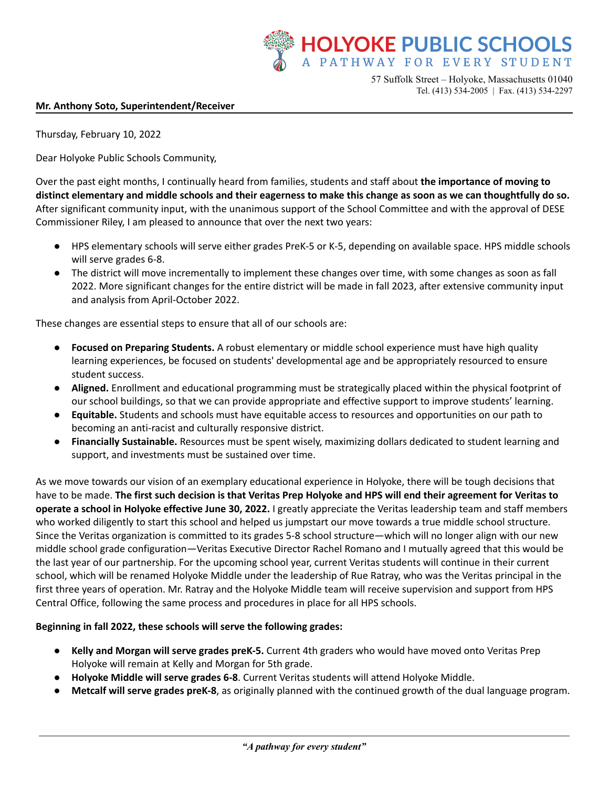

57 Suffolk Street – Holyoke, Massachusetts 01040 Tel. (413) 534-2005 | Fax. (413) 534-2297

## **Mr. Anthony Soto, Superintendent/Receiver**

Thursday, February 10, 2022

Dear Holyoke Public Schools Community,

Over the past eight months, I continually heard from families, students and staff about **the importance of moving to** distinct elementary and middle schools and their eagerness to make this change as soon as we can thoughtfully do so. After significant community input, with the unanimous support of the School Committee and with the approval of DESE Commissioner Riley, I am pleased to announce that over the next two years:

- HPS elementary schools will serve either grades PreK-5 or K-5, depending on available space. HPS middle schools will serve grades 6-8.
- The district will move incrementally to implement these changes over time, with some changes as soon as fall 2022. More significant changes for the entire district will be made in fall 2023, after extensive community input and analysis from April-October 2022.

These changes are essential steps to ensure that all of our schools are:

- **Focused on Preparing Students.** A robust elementary or middle school experience must have high quality learning experiences, be focused on students' developmental age and be appropriately resourced to ensure student success.
- **Aligned.** Enrollment and educational programming must be strategically placed within the physical footprint of our school buildings, so that we can provide appropriate and effective support to improve students' learning.
- **Equitable.** Students and schools must have equitable access to resources and opportunities on our path to becoming an anti-racist and culturally responsive district.
- **Financially Sustainable.** Resources must be spent wisely, maximizing dollars dedicated to student learning and support, and investments must be sustained over time.

As we move towards our vision of an exemplary educational experience in Holyoke, there will be tough decisions that have to be made. The first such decision is that Veritas Prep Holyoke and HPS will end their agreement for Veritas to **operate a school in Holyoke effective June 30, 2022.** I greatly appreciate the Veritas leadership team and staff members who worked diligently to start this school and helped us jumpstart our move towards a true middle school structure. Since the Veritas organization is committed to its grades 5-8 school structure—which will no longer align with our new middle school grade configuration—Veritas Executive Director Rachel Romano and I mutually agreed that this would be the last year of our partnership. For the upcoming school year, current Veritas students will continue in their current school, which will be renamed Holyoke Middle under the leadership of Rue Ratray, who was the Veritas principal in the first three years of operation. Mr. Ratray and the Holyoke Middle team will receive supervision and support from HPS Central Office, following the same process and procedures in place for all HPS schools.

## **Beginning in fall 2022, these schools will serve the following grades:**

- **Kelly and Morgan will serve grades preK-5.** Current 4th graders who would have moved onto Veritas Prep Holyoke will remain at Kelly and Morgan for 5th grade.
- **Holyoke Middle will serve grades 6-8**. Current Veritas students will attend Holyoke Middle.
- **Metcalf will serve grades preK-8,** as originally planned with the continued growth of the dual language program.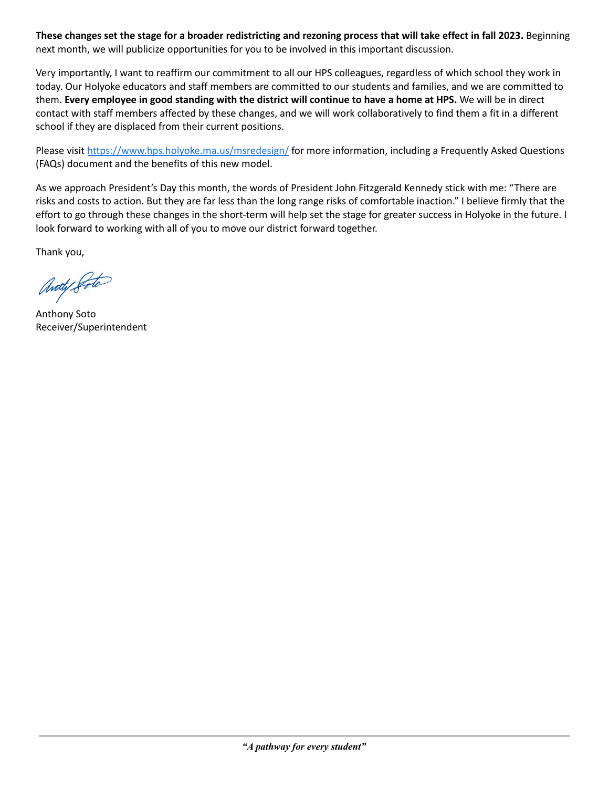These changes set the stage for a broader redistricting and rezoning process that will take effect in fall 2023. Beginning next month, we will publicize opportunities for you to be involved in this important discussion.

Very importantly, I want to reaffirm our commitment to all our HPS colleagues, regardless of which school they work in today. Our Holyoke educators and staff members are committed to our students and families, and we are committed to them. Every employee in good standing with the district will continue to have a home at HPS. We will be in direct contact with staff members affected by these changes, and we will work collaboratively to find them a fit in a different school if they are displaced from their current positions.

Please visit <https://www.hps.holyoke.ma.us/msredesign/> for more information, including a Frequently Asked Questions (FAQs) document and the benefits of this new model.

As we approach President's Day this month, the words of President John Fitzgerald Kennedy stick with me: "There are risks and costs to action. But they are far less than the long range risks of comfortable inaction." I believe firmly that the effort to go through these changes in the short-term will help set the stage for greater success in Holyoke in the future. I look forward to working with all of you to move our district forward together.

Thank you,

Anoty Poto

Anthony Soto Receiver/Superintendent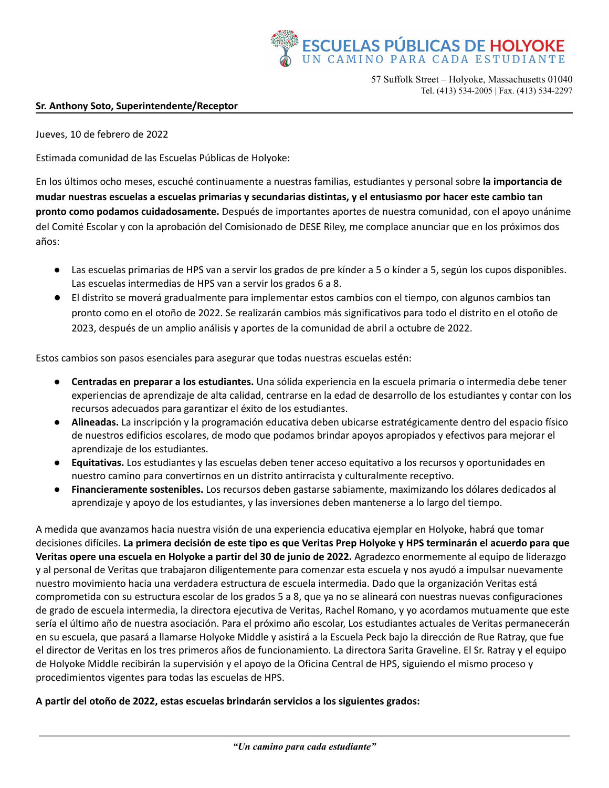

57 Suffolk Street – Holyoke, Massachusetts 01040 Tel. (413) 534-2005 | Fax. (413) 534-2297

## **Sr. Anthony Soto, Superintendente/Receptor**

Jueves, 10 de febrero de 2022

Estimada comunidad de las Escuelas Públicas de Holyoke:

En los últimos ocho meses, escuché continuamente a nuestras familias, estudiantes y personal sobre **la importancia de** mudar nuestras escuelas a escuelas primarias y secundarias distintas, y el entusiasmo por hacer este cambio tan **pronto como podamos cuidadosamente.** Después de importantes aportes de nuestra comunidad, con el apoyo unánime del Comité Escolar y con la aprobación del Comisionado de DESE Riley, me complace anunciar que en los próximos dos años:

- Las escuelas primarias de HPS van a servir los grados de pre kínder a 5 o kínder a 5, según los cupos disponibles. Las escuelas intermedias de HPS van a servir los grados 6 a 8.
- El distrito se moverá gradualmente para implementar estos cambios con el tiempo, con algunos cambios tan pronto como en el otoño de 2022. Se realizarán cambios más significativos para todo el distrito en el otoño de 2023, después de un amplio análisis y aportes de la comunidad de abril a octubre de 2022.

Estos cambios son pasos esenciales para asegurar que todas nuestras escuelas estén:

- **Centradas en preparar a los estudiantes.** Una sólida experiencia en la escuela primaria o intermedia debe tener experiencias de aprendizaje de alta calidad, centrarse en la edad de desarrollo de los estudiantes y contar con los recursos adecuados para garantizar el éxito de los estudiantes.
- **Alineadas.** La inscripción y la programación educativa deben ubicarse estratégicamente dentro del espacio físico de nuestros edificios escolares, de modo que podamos brindar apoyos apropiados y efectivos para mejorar el aprendizaje de los estudiantes.
- **Equitativas.** Los estudiantes y las escuelas deben tener acceso equitativo a los recursos y oportunidades en nuestro camino para convertirnos en un distrito antirracista y culturalmente receptivo.
- **Financieramente sostenibles.** Los recursos deben gastarse sabiamente, maximizando los dólares dedicados al aprendizaje y apoyo de los estudiantes, y las inversiones deben mantenerse a lo largo del tiempo.

A medida que avanzamos hacia nuestra visión de una experiencia educativa ejemplar en Holyoke, habrá que tomar decisiones difíciles. La primera decisión de este tipo es que Veritas Prep Holyoke y HPS terminarán el acuerdo para que **Veritas opere una escuela en Holyoke a partir del 30 de junio de 2022.** Agradezco enormemente al equipo de liderazgo y al personal de Veritas que trabajaron diligentemente para comenzar esta escuela y nos ayudó a impulsar nuevamente nuestro movimiento hacia una verdadera estructura de escuela intermedia. Dado que la organización Veritas está comprometida con su estructura escolar de los grados 5 a 8, que ya no se alineará con nuestras nuevas configuraciones de grado de escuela intermedia, la directora ejecutiva de Veritas, Rachel Romano, y yo acordamos mutuamente que este sería el último año de nuestra asociación. Para el próximo año escolar, Los estudiantes actuales de Veritas permanecerán en su escuela, que pasará a llamarse Holyoke Middle y asistirá a la Escuela Peck bajo la dirección de Rue Ratray, que fue el director de Veritas en los tres primeros años de funcionamiento. La directora Sarita Graveline. El Sr. Ratray y el equipo de Holyoke Middle recibirán la supervisión y el apoyo de la Oficina Central de HPS, siguiendo el mismo proceso y procedimientos vigentes para todas las escuelas de HPS.

## **A partir del otoño de 2022, estas escuelas brindarán servicios a los siguientes grados:**